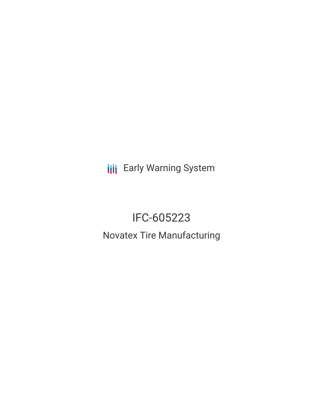**III** Early Warning System

# IFC-605223 Novatex Tire Manufacturing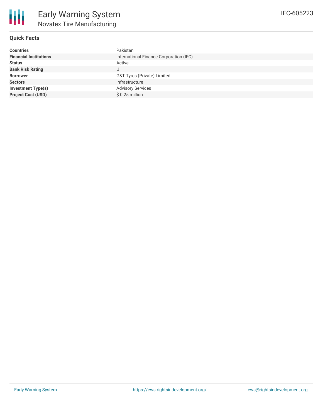

## **Quick Facts**

| <b>Countries</b>              | Pakistan                                |
|-------------------------------|-----------------------------------------|
| <b>Financial Institutions</b> | International Finance Corporation (IFC) |
| <b>Status</b>                 | Active                                  |
| <b>Bank Risk Rating</b>       | U                                       |
| <b>Borrower</b>               | G&T Tyres (Private) Limited             |
| <b>Sectors</b>                | Infrastructure                          |
| <b>Investment Type(s)</b>     | <b>Advisory Services</b>                |
| <b>Project Cost (USD)</b>     | $$0.25$ million                         |
|                               |                                         |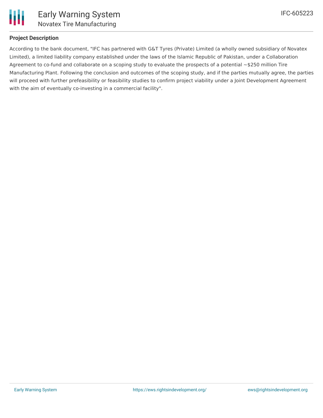

## **Project Description**

According to the bank document, "IFC has partnered with G&T Tyres (Private) Limited (a wholly owned subsidiary of Novatex Limited), a limited liability company established under the laws of the Islamic Republic of Pakistan, under a Collaboration Agreement to co-fund and collaborate on a scoping study to evaluate the prospects of a potential  $\sim$ \$250 million Tire Manufacturing Plant. Following the conclusion and outcomes of the scoping study, and if the parties mutually agree, the parties will proceed with further prefeasibility or feasibility studies to confirm project viability under a Joint Development Agreement with the aim of eventually co-investing in a commercial facility".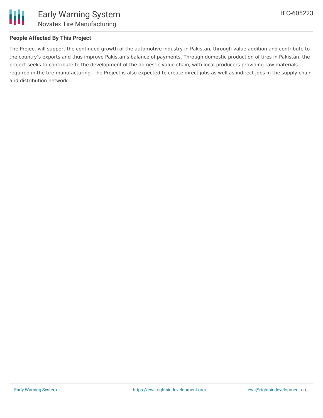

# **People Affected By This Project**

The Project will support the continued growth of the automotive industry in Pakistan, through value addition and contribute to the country's exports and thus improve Pakistan's balance of payments. Through domestic production of tires in Pakistan, the project seeks to contribute to the development of the domestic value chain, with local producers providing raw materials required in the tire manufacturing. The Project is also expected to create direct jobs as well as indirect jobs in the supply chain and distribution network.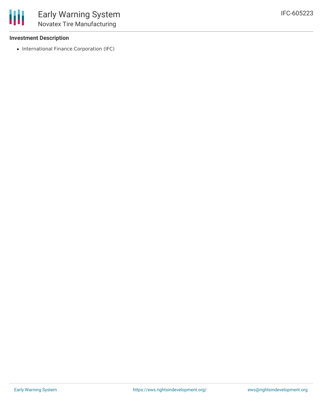#### **Investment Description**

• International Finance Corporation (IFC)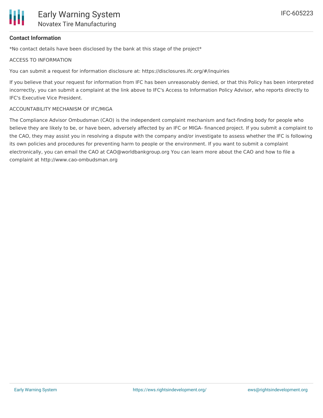

### **Contact Information**

\*No contact details have been disclosed by the bank at this stage of the project\*

#### ACCESS TO INFORMATION

You can submit a request for information disclosure at: https://disclosures.ifc.org/#/inquiries

If you believe that your request for information from IFC has been unreasonably denied, or that this Policy has been interpreted incorrectly, you can submit a complaint at the link above to IFC's Access to Information Policy Advisor, who reports directly to IFC's Executive Vice President.

#### ACCOUNTABILITY MECHANISM OF IFC/MIGA

The Compliance Advisor Ombudsman (CAO) is the independent complaint mechanism and fact-finding body for people who believe they are likely to be, or have been, adversely affected by an IFC or MIGA- financed project. If you submit a complaint to the CAO, they may assist you in resolving a dispute with the company and/or investigate to assess whether the IFC is following its own policies and procedures for preventing harm to people or the environment. If you want to submit a complaint electronically, you can email the CAO at CAO@worldbankgroup.org You can learn more about the CAO and how to file a complaint at http://www.cao-ombudsman.org